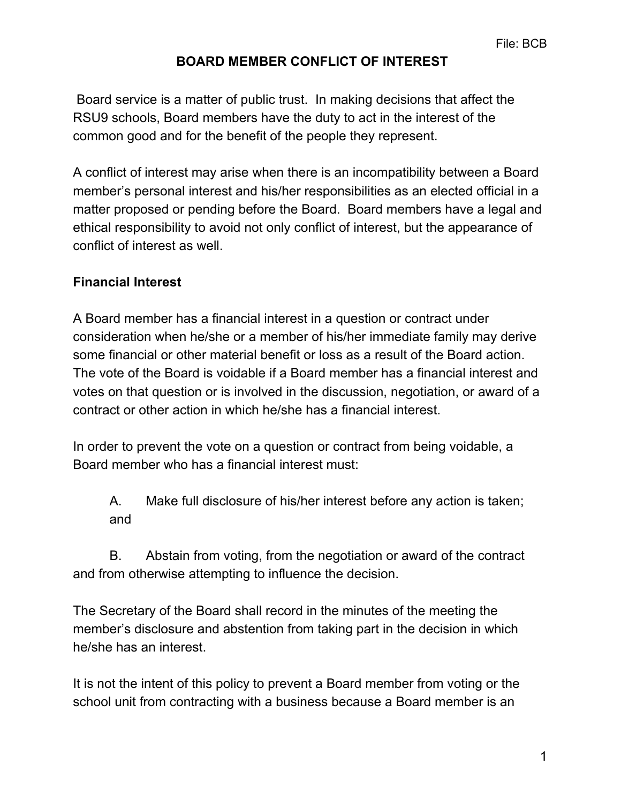Board service is a matter of public trust. In making decisions that affect the RSU9 schools, Board members have the duty to act in the interest of the common good and for the benefit of the people they represent.

A conflict of interest may arise when there is an incompatibility between a Board member's personal interest and his/her responsibilities as an elected official in a matter proposed or pending before the Board. Board members have a legal and ethical responsibility to avoid not only conflict of interest, but the appearance of conflict of interest as well.

### **Financial Interest**

A Board member has a financial interest in a question or contract under consideration when he/she or a member of his/her immediate family may derive some financial or other material benefit or loss as a result of the Board action. The vote of the Board is voidable if a Board member has a financial interest and votes on that question or is involved in the discussion, negotiation, or award of a contract or other action in which he/she has a financial interest.

In order to prevent the vote on a question or contract from being voidable, a Board member who has a financial interest must:

A. Make full disclosure of his/her interest before any action is taken; and

B. Abstain from voting, from the negotiation or award of the contract and from otherwise attempting to influence the decision.

The Secretary of the Board shall record in the minutes of the meeting the member's disclosure and abstention from taking part in the decision in which he/she has an interest.

It is not the intent of this policy to prevent a Board member from voting or the school unit from contracting with a business because a Board member is an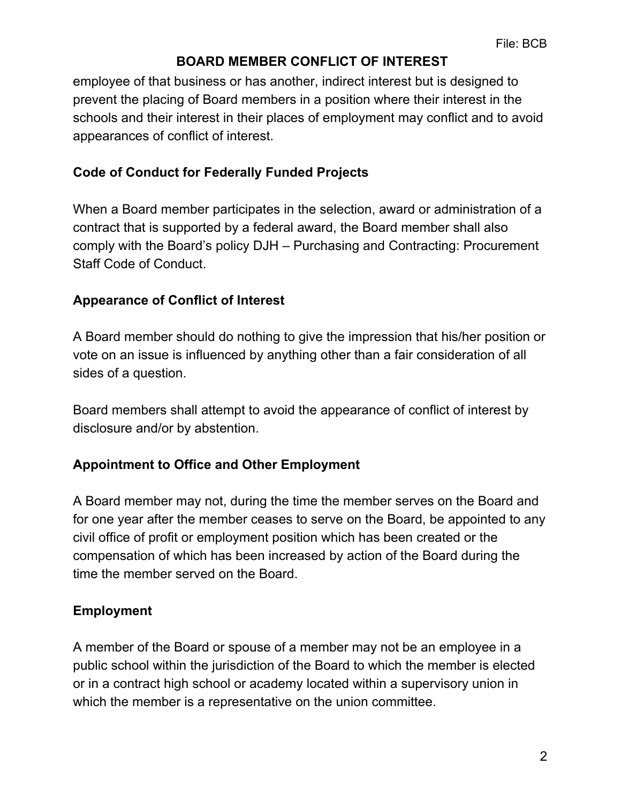employee of that business or has another, indirect interest but is designed to prevent the placing of Board members in a position where their interest in the schools and their interest in their places of employment may conflict and to avoid appearances of conflict of interest.

## **Code of Conduct for Federally Funded Projects**

When a Board member participates in the selection, award or administration of a contract that is supported by a federal award, the Board member shall also comply with the Board's policy DJH – Purchasing and Contracting: Procurement Staff Code of Conduct.

## **Appearance of Conflict of Interest**

A Board member should do nothing to give the impression that his/her position or vote on an issue is influenced by anything other than a fair consideration of all sides of a question.

Board members shall attempt to avoid the appearance of conflict of interest by disclosure and/or by abstention.

# **Appointment to Office and Other Employment**

A Board member may not, during the time the member serves on the Board and for one year after the member ceases to serve on the Board, be appointed to any civil office of profit or employment position which has been created or the compensation of which has been increased by action of the Board during the time the member served on the Board.

# **Employment**

A member of the Board or spouse of a member may not be an employee in a public school within the jurisdiction of the Board to which the member is elected or in a contract high school or academy located within a supervisory union in which the member is a representative on the union committee.